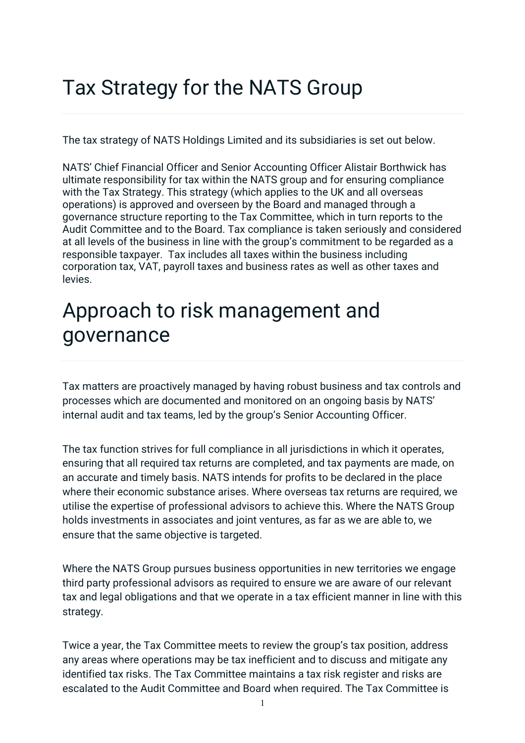## Tax Strategy for the NATS Group

The tax strategy of NATS Holdings Limited and its subsidiaries is set out below.

NATS' Chief Financial Officer and Senior Accounting Officer Alistair Borthwick has ultimate responsibility for tax within the NATS group and for ensuring compliance with the Tax Strategy. This strategy (which applies to the UK and all overseas operations) is approved and overseen by the Board and managed through a governance structure reporting to the Tax Committee, which in turn reports to the Audit Committee and to the Board. Tax compliance is taken seriously and considered at all levels of the business in line with the group's commitment to be regarded as a responsible taxpayer. Tax includes all taxes within the business including corporation tax, VAT, payroll taxes and business rates as well as other taxes and levies.

## Approach to risk management and governance

Tax matters are proactively managed by having robust business and tax controls and processes which are documented and monitored on an ongoing basis by NATS' internal audit and tax teams, led by the group's Senior Accounting Officer.

The tax function strives for full compliance in all jurisdictions in which it operates, ensuring that all required tax returns are completed, and tax payments are made, on an accurate and timely basis. NATS intends for profits to be declared in the place where their economic substance arises. Where overseas tax returns are required, we utilise the expertise of professional advisors to achieve this. Where the NATS Group holds investments in associates and joint ventures, as far as we are able to, we ensure that the same objective is targeted.

Where the NATS Group pursues business opportunities in new territories we engage third party professional advisors as required to ensure we are aware of our relevant tax and legal obligations and that we operate in a tax efficient manner in line with this strategy.

Twice a year, the Tax Committee meets to review the group's tax position, address any areas where operations may be tax inefficient and to discuss and mitigate any identified tax risks. The Tax Committee maintains a tax risk register and risks are escalated to the Audit Committee and Board when required. The Tax Committee is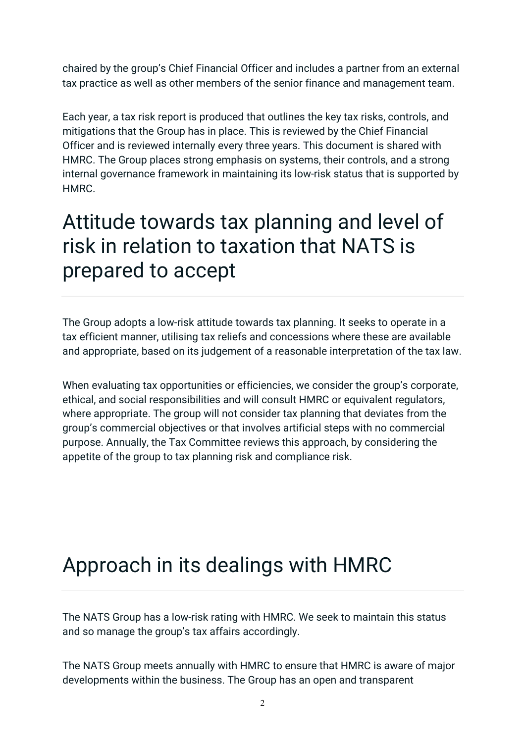chaired by the group's Chief Financial Officer and includes a partner from an external tax practice as well as other members of the senior finance and management team.

Each year, a tax risk report is produced that outlines the key tax risks, controls, and mitigations that the Group has in place. This is reviewed by the Chief Financial Officer and is reviewed internally every three years. This document is shared with HMRC. The Group places strong emphasis on systems, their controls, and a strong internal governance framework in maintaining its low-risk status that is supported by HMRC.

## Attitude towards tax planning and level of risk in relation to taxation that NATS is prepared to accept

The Group adopts a low-risk attitude towards tax planning. It seeks to operate in a tax efficient manner, utilising tax reliefs and concessions where these are available and appropriate, based on its judgement of a reasonable interpretation of the tax law.

When evaluating tax opportunities or efficiencies, we consider the group's corporate, ethical, and social responsibilities and will consult HMRC or equivalent regulators, where appropriate. The group will not consider tax planning that deviates from the group's commercial objectives or that involves artificial steps with no commercial purpose. Annually, the Tax Committee reviews this approach, by considering the appetite of the group to tax planning risk and compliance risk.

## Approach in its dealings with HMRC

The NATS Group has a low-risk rating with HMRC. We seek to maintain this status and so manage the group's tax affairs accordingly.

The NATS Group meets annually with HMRC to ensure that HMRC is aware of major developments within the business. The Group has an open and transparent